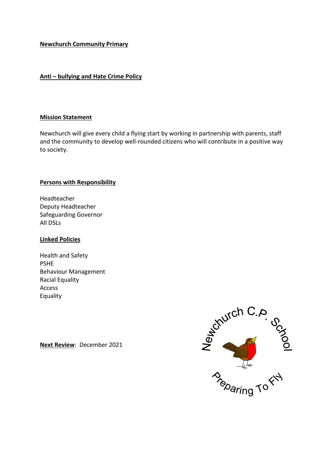### **Newchurch Community Primary**

## **Anti – bullying and Hate Crime Policy**

#### **Mission Statement**

Newchurch will give every child a flying start by working in partnership with parents, staff and the community to develop well-rounded citizens who will contribute in a positive way to society.

#### **Persons with Responsibility**

Headteacher Deputy Headteacher Safeguarding Governor All DSLs

#### **Linked Policies**

Health and Safety PSHE Behaviour Management Racial Equality Access Equality

**Next Review**: December 2021

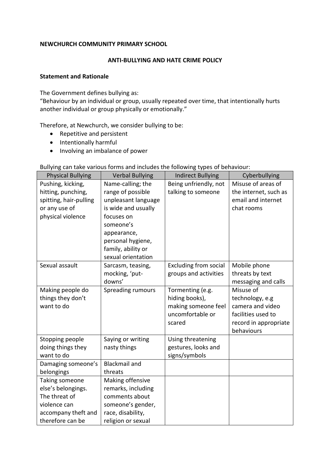## **NEWCHURCH COMMUNITY PRIMARY SCHOOL**

#### **ANTI-BULLYING AND HATE CRIME POLICY**

#### **Statement and Rationale**

The Government defines bullying as:

"Behaviour by an individual or group, usually repeated over time, that intentionally hurts another individual or group physically or emotionally."

Therefore, at Newchurch, we consider bullying to be:

- Repetitive and persistent
- Intentionally harmful
- Involving an imbalance of power

## Bullying can take various forms and includes the following types of behaviour:

| <b>Physical Bullying</b> | <b>Verbal Bullying</b> | <b>Indirect Bullying</b>     | Cyberbullying         |
|--------------------------|------------------------|------------------------------|-----------------------|
| Pushing, kicking,        | Name-calling; the      | Being unfriendly, not        | Misuse of areas of    |
| hitting, punching,       | range of possible      | talking to someone           | the internet, such as |
| spitting, hair-pulling   | unpleasant language    |                              | email and internet    |
| or any use of            | is wide and usually    |                              | chat rooms            |
| physical violence        | focuses on             |                              |                       |
|                          | someone's              |                              |                       |
|                          | appearance,            |                              |                       |
|                          | personal hygiene,      |                              |                       |
|                          | family, ability or     |                              |                       |
|                          | sexual orientation     |                              |                       |
| Sexual assault           | Sarcasm, teasing,      | <b>Excluding from social</b> | Mobile phone          |
|                          | mocking, 'put-         | groups and activities        | threats by text       |
|                          | downs'                 |                              | messaging and calls   |
| Making people do         | Spreading rumours      | Tormenting (e.g.             | Misuse of             |
| things they don't        |                        | hiding books),               | technology, e.g       |
| want to do               |                        | making someone feel          | camera and video      |
|                          |                        | uncomfortable or             | facilities used to    |
|                          |                        | scared                       | record in appropriate |
|                          |                        |                              | behaviours            |
| Stopping people          | Saying or writing      | Using threatening            |                       |
| doing things they        | nasty things           | gestures, looks and          |                       |
| want to do               |                        | signs/symbols                |                       |
| Damaging someone's       | <b>Blackmail and</b>   |                              |                       |
| belongings               | threats                |                              |                       |
| Taking someone           | Making offensive       |                              |                       |
| else's belongings.       | remarks, including     |                              |                       |
| The threat of            | comments about         |                              |                       |
| violence can             | someone's gender,      |                              |                       |
| accompany theft and      | race, disability,      |                              |                       |
| therefore can be         | religion or sexual     |                              |                       |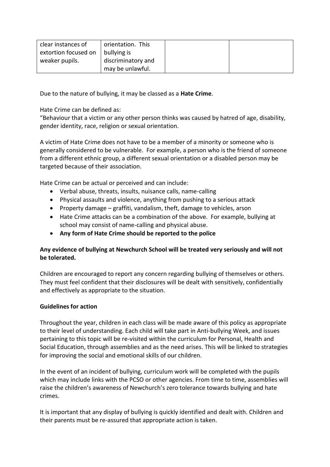| clear instances of   | orientation. This  |  |
|----------------------|--------------------|--|
| extortion focused on | bullying is        |  |
| weaker pupils.       | discriminatory and |  |
|                      | may be unlawful.   |  |

Due to the nature of bullying, it may be classed as a **Hate Crime**.

Hate Crime can be defined as:

"Behaviour that a victim or any other person thinks was caused by hatred of age, disability, gender identity, race, religion or sexual orientation.

A victim of Hate Crime does not have to be a member of a minority or someone who is generally considered to be vulnerable. For example, a person who is the friend of someone from a different ethnic group, a different sexual orientation or a disabled person may be targeted because of their association.

Hate Crime can be actual or perceived and can include:

- Verbal abuse, threats, insults, nuisance calls, name-calling
- Physical assaults and violence, anything from pushing to a serious attack
- Property damage graffiti, vandalism, theft, damage to vehicles, arson
- Hate Crime attacks can be a combination of the above. For example, bullying at school may consist of name-calling and physical abuse.
- **Any form of Hate Crime should be reported to the police**

# **Any evidence of bullying at Newchurch School will be treated very seriously and will not be tolerated.**

Children are encouraged to report any concern regarding bullying of themselves or others. They must feel confident that their disclosures will be dealt with sensitively, confidentially and effectively as appropriate to the situation.

## **Guidelines for action**

Throughout the year, children in each class will be made aware of this policy as appropriate to their level of understanding. Each child will take part in Anti-bullying Week, and issues pertaining to this topic will be re-visited within the curriculum for Personal, Health and Social Education, through assemblies and as the need arises. This will be linked to strategies for improving the social and emotional skills of our children.

In the event of an incident of bullying, curriculum work will be completed with the pupils which may include links with the PCSO or other agencies. From time to time, assemblies will raise the children's awareness of Newchurch's zero tolerance towards bullying and hate crimes.

It is important that any display of bullying is quickly identified and dealt with. Children and their parents must be re-assured that appropriate action is taken.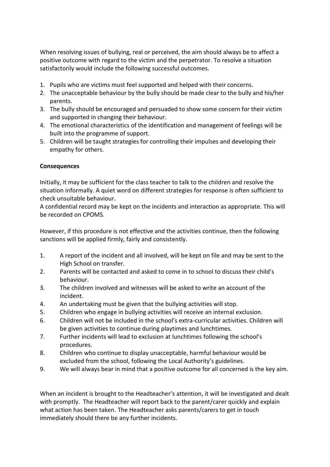When resolving issues of bullying, real or perceived, the aim should always be to affect a positive outcome with regard to the victim and the perpetrator. To resolve a situation satisfactorily would include the following successful outcomes.

- 1. Pupils who are victims must feel supported and helped with their concerns.
- 2. The unacceptable behaviour by the bully should be made clear to the bully and his/her parents.
- 3. The bully should be encouraged and persuaded to show some concern for their victim and supported in changing their behaviour.
- 4. The emotional characteristics of the identification and management of feelings will be built into the programme of support.
- 5. Children will be taught strategies for controlling their impulses and developing their empathy for others.

## **Consequences**

Initially, it may be sufficient for the class teacher to talk to the children and resolve the situation informally. A quiet word on different strategies for response is often sufficient to check unsuitable behaviour.

A confidential record may be kept on the incidents and interaction as appropriate. This will be recorded on CPOMS.

However, if this procedure is not effective and the activities continue, then the following sanctions will be applied firmly, fairly and consistently.

- 1. A report of the incident and all involved, will be kept on file and may be sent to the High School on transfer.
- 2. Parents will be contacted and asked to come in to school to discuss their child's behaviour.
- 3. The children involved and witnesses will be asked to write an account of the incident.
- 4. An undertaking must be given that the bullying activities will stop.
- 5. Children who engage in bullying activities will receive an internal exclusion.
- 6. Children will not be included in the school's extra-curricular activities. Children will be given activities to continue during playtimes and lunchtimes.
- 7. Further incidents will lead to exclusion at lunchtimes following the school's procedures.
- 8. Children who continue to display unacceptable, harmful behaviour would be excluded from the school, following the Local Authority's guidelines.
- 9. We will always bear in mind that a positive outcome for all concerned is the key aim.

When an incident is brought to the Headteacher's attention, it will be investigated and dealt with promptly. The Headteacher will report back to the parent/carer quickly and explain what action has been taken. The Headteacher asks parents/carers to get in touch immediately should there be any further incidents.